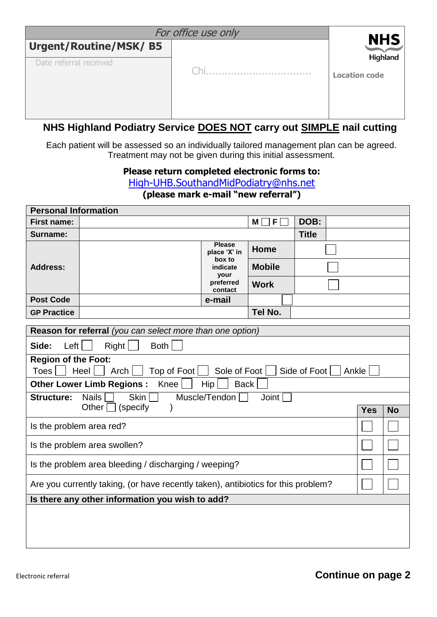|                                                        | For office use only |                                                |
|--------------------------------------------------------|---------------------|------------------------------------------------|
| <b>Urgent/Routine/MSK/B5</b><br>Date referral received |                     | <b>NHS</b><br>Highland<br><b>Location code</b> |

## **NHS Highland Podiatry Service DOES NOT carry out SIMPLE nail cutting**

Each patient will be assessed so an individually tailored management plan can be agreed. Treatment may not be given during this initial assessment.

## **Please return completed electronic forms to:**

[High-UHB.SouthandMidPodiatry@nhs.net](https://web.nhs.net/OWA/redir.aspx?C=NXWNOJw_x0iRYU7KV99cVL4cxad-K9JIQryyNO2tkPmRcDLh_t24qluTj-is9-EV9JTSs9g1TbU.&URL=mailto%3aHigh-UHB.SouthandMidPodiatry%40nhs.net) **(please mark e-mail "new referral")**

| <b>Personal Information</b>                                                       |                                                           |                                   |               |              |       |            |           |
|-----------------------------------------------------------------------------------|-----------------------------------------------------------|-----------------------------------|---------------|--------------|-------|------------|-----------|
| <b>First name:</b>                                                                |                                                           |                                   | F<br>М        | DOB:         |       |            |           |
| Surname:                                                                          |                                                           |                                   |               | <b>Title</b> |       |            |           |
|                                                                                   |                                                           | <b>Please</b><br>place 'X' in     | <b>Home</b>   |              |       |            |           |
| <b>Address:</b>                                                                   |                                                           | box to<br>indicate<br><b>your</b> | <b>Mobile</b> |              |       |            |           |
|                                                                                   |                                                           | preferred<br>contact              | <b>Work</b>   |              |       |            |           |
| <b>Post Code</b>                                                                  |                                                           | e-mail                            |               |              |       |            |           |
| <b>GP Practice</b>                                                                |                                                           |                                   | Tel No.       |              |       |            |           |
|                                                                                   | Reason for referral (you can select more than one option) |                                   |               |              |       |            |           |
| Left<br>Side:                                                                     | Right<br><b>Both</b>                                      |                                   |               |              |       |            |           |
| <b>Region of the Foot:</b><br>Toes                                                | Heel  <br>Arch $ $<br>Top of Foot                         | Sole of Foot                      |               | Side of Foot | Ankle |            |           |
|                                                                                   | <b>Other Lower Limb Regions:</b><br>Knee                  | <b>Back</b><br>Hip                |               |              |       |            |           |
| <b>Structure:</b>                                                                 | Skin  <br><b>Nails</b>                                    | Muscle/Tendon                     | Joint         |              |       |            |           |
|                                                                                   | Other<br>(specify)<br>$\mathcal{E}$                       |                                   |               |              |       | <b>Yes</b> | <b>No</b> |
| Is the problem area red?                                                          |                                                           |                                   |               |              |       |            |           |
|                                                                                   | Is the problem area swollen?                              |                                   |               |              |       |            |           |
| Is the problem area bleeding / discharging / weeping?                             |                                                           |                                   |               |              |       |            |           |
| Are you currently taking, (or have recently taken), antibiotics for this problem? |                                                           |                                   |               |              |       |            |           |
|                                                                                   | Is there any other information you wish to add?           |                                   |               |              |       |            |           |
|                                                                                   |                                                           |                                   |               |              |       |            |           |
|                                                                                   |                                                           |                                   |               |              |       |            |           |
|                                                                                   |                                                           |                                   |               |              |       |            |           |
|                                                                                   |                                                           |                                   |               |              |       |            |           |